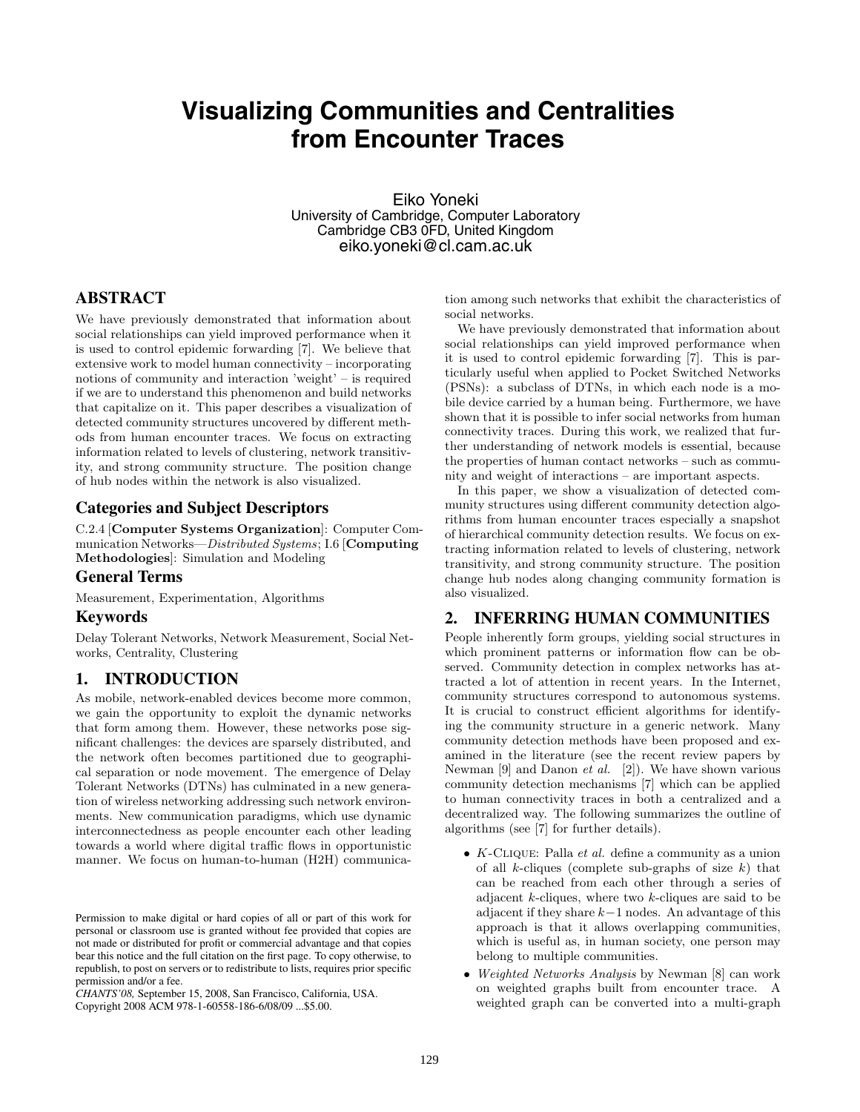# **Visualizing Communities and Centralities from Encounter Traces**

Eiko Yoneki University of Cambridge, Computer Laboratory Cambridge CB3 0FD, United Kingdom eiko.yoneki@cl.cam.ac.uk

## **ABSTRACT**

We have previously demonstrated that information about social relationships can yield improved performance when it is used to control epidemic forwarding [7]. We believe that extensive work to model human connectivity – incorporating notions of community and interaction 'weight' – is required if we are to understand this phenomenon and build networks that capitalize on it. This paper describes a visualization of detected community structures uncovered by different methods from human encounter traces. We focus on extracting information related to levels of clustering, network transitivity, and strong community structure. The position change of hub nodes within the network is also visualized.

#### **Categories and Subject Descriptors**

C.2.4 [**Computer Systems Organization**]: Computer Communication Networks—*Distributed Systems*; I.6 [**Computing Methodologies**]: Simulation and Modeling

#### **General Terms**

Measurement, Experimentation, Algorithms

#### **Keywords**

Delay Tolerant Networks, Network Measurement, Social Networks, Centrality, Clustering

## **1. INTRODUCTION**

As mobile, network-enabled devices become more common, we gain the opportunity to exploit the dynamic networks that form among them. However, these networks pose significant challenges: the devices are sparsely distributed, and the network often becomes partitioned due to geographical separation or node movement. The emergence of Delay Tolerant Networks (DTNs) has culminated in a new generation of wireless networking addressing such network environments. New communication paradigms, which use dynamic interconnectedness as people encounter each other leading towards a world where digital traffic flows in opportunistic manner. We focus on human-to-human (H2H) communica-

*CHANTS'08,* September 15, 2008, San Francisco, California, USA. Copyright 2008 ACM 978-1-60558-186-6/08/09 ...\$5.00.

tion among such networks that exhibit the characteristics of social networks.

We have previously demonstrated that information about social relationships can yield improved performance when it is used to control epidemic forwarding [7]. This is particularly useful when applied to Pocket Switched Networks (PSNs): a subclass of DTNs, in which each node is a mobile device carried by a human being. Furthermore, we have shown that it is possible to infer social networks from human connectivity traces. During this work, we realized that further understanding of network models is essential, because the properties of human contact networks – such as community and weight of interactions – are important aspects.

In this paper, we show a visualization of detected community structures using different community detection algorithms from human encounter traces especially a snapshot of hierarchical community detection results. We focus on extracting information related to levels of clustering, network transitivity, and strong community structure. The position change hub nodes along changing community formation is also visualized.

#### **2. INFERRING HUMAN COMMUNITIES**

People inherently form groups, yielding social structures in which prominent patterns or information flow can be observed. Community detection in complex networks has attracted a lot of attention in recent years. In the Internet, community structures correspond to autonomous systems. It is crucial to construct efficient algorithms for identifying the community structure in a generic network. Many community detection methods have been proposed and examined in the literature (see the recent review papers by Newman [9] and Danon *et al.* [2]). We have shown various community detection mechanisms [7] which can be applied to human connectivity traces in both a centralized and a decentralized way. The following summarizes the outline of algorithms (see [7] for further details).

- *• K*-Clique: Palla *et al.* define a community as a union of all *k*-cliques (complete sub-graphs of size *k*) that can be reached from each other through a series of adjacent *k*-cliques, where two *k*-cliques are said to be adjacent if they share *k−*1 nodes. An advantage of this approach is that it allows overlapping communities, which is useful as, in human society, one person may belong to multiple communities.
- *• Weighted Networks Analysis* by Newman [8] can work on weighted graphs built from encounter trace. A weighted graph can be converted into a multi-graph

Permission to make digital or hard copies of all or part of this work for personal or classroom use is granted without fee provided that copies are not made or distributed for profit or commercial advantage and that copies bear this notice and the full citation on the first page. To copy otherwise, to republish, to post on servers or to redistribute to lists, requires prior specific permission and/or a fee.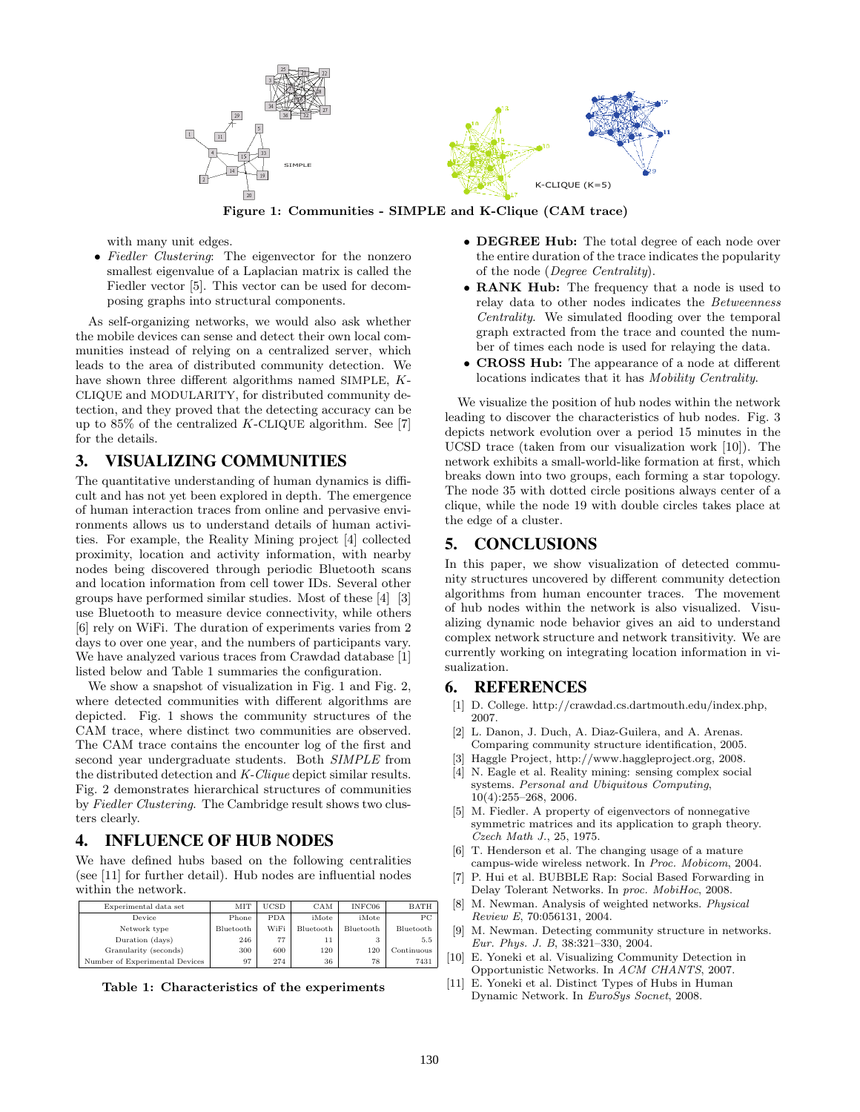

**Figure 1: Communities - SIMPLE and K-Clique (CAM trace)**

with many unit edges.

*• Fiedler Clustering*: The eigenvector for the nonzero smallest eigenvalue of a Laplacian matrix is called the Fiedler vector [5]. This vector can be used for decomposing graphs into structural components.

As self-organizing networks, we would also ask whether the mobile devices can sense and detect their own local communities instead of relying on a centralized server, which leads to the area of distributed community detection. We have shown three different algorithms named SIMPLE, *K*-CLIQUE and MODULARITY, for distributed community detection, and they proved that the detecting accuracy can be up to 85% of the centralized *K*-CLIQUE algorithm. See [7] for the details.

### **3. VISUALIZING COMMUNITIES**

The quantitative understanding of human dynamics is difficult and has not yet been explored in depth. The emergence of human interaction traces from online and pervasive environments allows us to understand details of human activities. For example, the Reality Mining project [4] collected proximity, location and activity information, with nearby nodes being discovered through periodic Bluetooth scans and location information from cell tower IDs. Several other groups have performed similar studies. Most of these [4] [3] use Bluetooth to measure device connectivity, while others [6] rely on WiFi. The duration of experiments varies from 2 days to over one year, and the numbers of participants vary. We have analyzed various traces from Crawdad database [1] listed below and Table 1 summaries the configuration.

We show a snapshot of visualization in Fig. 1 and Fig. 2, where detected communities with different algorithms are depicted. Fig. 1 shows the community structures of the CAM trace, where distinct two communities are observed. The CAM trace contains the encounter log of the first and second year undergraduate students. Both *SIMPLE* from the distributed detection and *K-Clique* depict similar results. Fig. 2 demonstrates hierarchical structures of communities by *Fiedler Clustering*. The Cambridge result shows two clusters clearly.

### **4. INFLUENCE OF HUB NODES**

We have defined hubs based on the following centralities (see [11] for further detail). Hub nodes are influential nodes within the network.

| Experimental data set          | MIT       | <b>UCSD</b> | CAM       | INFC06    | <b>BATH</b> |
|--------------------------------|-----------|-------------|-----------|-----------|-------------|
| Device                         | Phone     | <b>PDA</b>  | iMote     | iMote     | РC          |
| Network type                   | Bluetooth | WiFi        | Bluetooth | Bluetooth | Bluetooth   |
| Duration (days)                | 246       | 77          | 11        | 3         | 5.5         |
| Granularity (seconds)          | 300       | 600         | 120       | 120       | Continuous  |
| Number of Experimental Devices | 97        | 274         | 36        | 78        | 7431        |
|                                |           |             |           |           |             |

**Table 1: Characteristics of the experiments**

- *•* **DEGREE Hub:** The total degree of each node over the entire duration of the trace indicates the popularity of the node (*Degree Centrality*).
- *•* **RANK Hub:** The frequency that a node is used to relay data to other nodes indicates the *Betweenness Centrality*. We simulated flooding over the temporal graph extracted from the trace and counted the number of times each node is used for relaying the data.
- *•* **CROSS Hub:** The appearance of a node at different locations indicates that it has *Mobility Centrality*.

We visualize the position of hub nodes within the network leading to discover the characteristics of hub nodes. Fig. 3 depicts network evolution over a period 15 minutes in the UCSD trace (taken from our visualization work [10]). The network exhibits a small-world-like formation at first, which breaks down into two groups, each forming a star topology. The node 35 with dotted circle positions always center of a clique, while the node 19 with double circles takes place at the edge of a cluster.

### **5. CONCLUSIONS**

In this paper, we show visualization of detected community structures uncovered by different community detection algorithms from human encounter traces. The movement of hub nodes within the network is also visualized. Visualizing dynamic node behavior gives an aid to understand complex network structure and network transitivity. We are currently working on integrating location information in visualization.

### **6. REFERENCES**

- [1] D. College. http://crawdad.cs.dartmouth.edu/index.php, 2007.
- [2] L. Danon, J. Duch, A. Diaz-Guilera, and A. Arenas. Comparing community structure identification, 2005.
- [3] Haggle Project, http://www.haggleproject.org, 2008. [4] N. Eagle et al. Reality mining: sensing complex social
- systems. *Personal and Ubiquitous Computing*, 10(4):255–268, 2006.
- [5] M. Fiedler. A property of eigenvectors of nonnegative symmetric matrices and its application to graph theory. *Czech Math J.*, 25, 1975.
- [6] T. Henderson et al. The changing usage of a mature campus-wide wireless network. In *Proc. Mobicom*, 2004.
- [7] P. Hui et al. BUBBLE Rap: Social Based Forwarding in Delay Tolerant Networks. In *proc. MobiHoc*, 2008.
- [8] M. Newman. Analysis of weighted networks. *Physical Review E*, 70:056131, 2004.
- M. Newman. Detecting community structure in networks. *Eur. Phys. J. B*, 38:321–330, 2004.
- [10] E. Yoneki et al. Visualizing Community Detection in Opportunistic Networks. In *ACM CHANTS*, 2007.
- [11] E. Yoneki et al. Distinct Types of Hubs in Human Dynamic Network. In *EuroSys Socnet*, 2008.